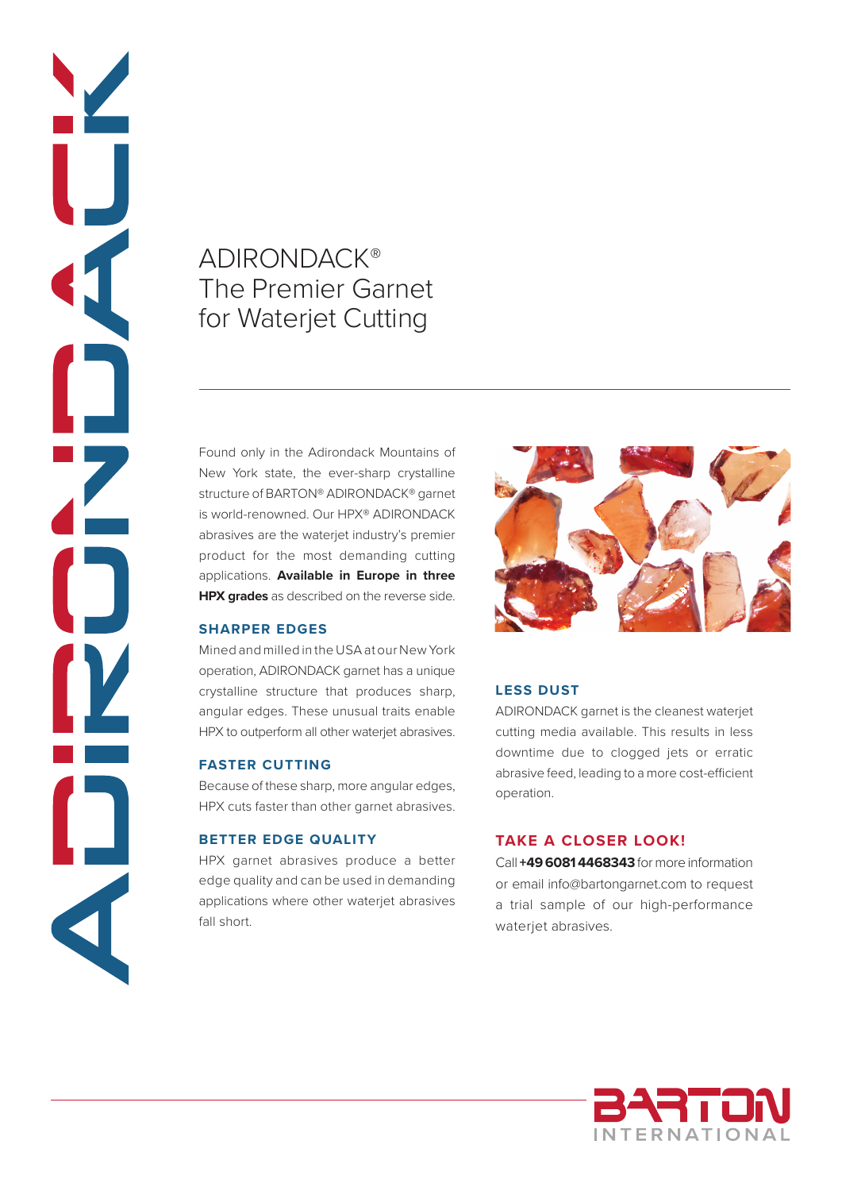# ADIRONDACK® The Premier Garnet for Waterjet Cutting

Found only in the Adirondack Mountains of New York state, the ever-sharp crystalline structure of BARTON® ADIRONDACK® garnet is world-renowned. Our HPX® ADIRONDACK abrasives are the waterjet industry's premier product for the most demanding cutting applications. **Available in Europe in three HPX grades** as described on the reverse side.

## **SHARPER EDGES**

Z

Mined and milled in the USA at our New York operation, ADIRONDACK garnet has a unique crystalline structure that produces sharp, angular edges. These unusual traits enable HPX to outperform all other waterjet abrasives.

## **FASTER CUTTING**

Because of these sharp, more angular edges, HPX cuts faster than other garnet abrasives.

### **BETTER EDGE QUALITY**

HPX garnet abrasives produce a better edge quality and can be used in demanding applications where other waterjet abrasives fall short.



## **LESS DUST**

ADIRONDACK garnet is the cleanest waterjet cutting media available. This results in less downtime due to clogged jets or erratic abrasive feed, leading to a more cost-efficient operation.

## **TAKE A CLOSER LOOK!**

Call **+49 6081 4468343** for more information or email info@bartongarnet.com to request a trial sample of our high-performance waterjet abrasives.